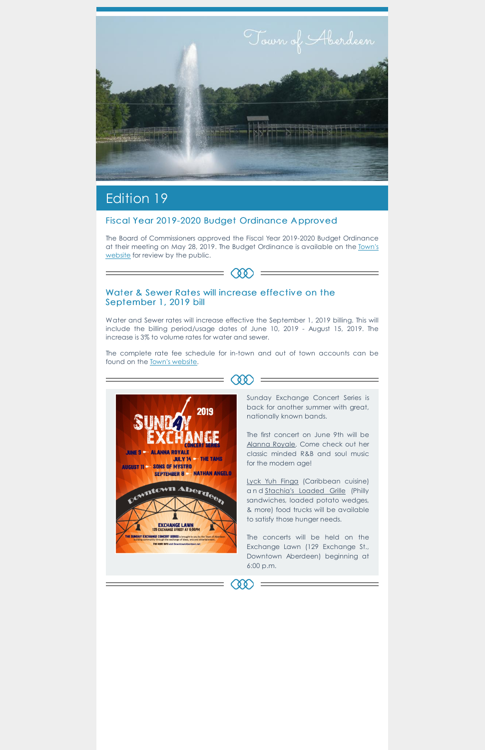

# Edition 19

The Board of Commissioners approved the Fiscal Year 2019-2020 Budget Ordinance at their meeting on May 28, 2019. The Budget [Ordinance](https://www.townofaberdeen.net/files/documents/FiscalYear2019-2020BudgetOrdinance135093625052919AM.pdf) is available on the Town's website for review by the public.

 $-\infty$ 

#### Fiscal Year 2019-2020 Budget Ordinance A pproved

The complete rate fee schedule for in-town and out of town accounts can be found on the **Town's website**.

### Water & Sewer Rates will increase effective on the September 1, 2019 bill

Water and Sewer rates will increase effective the September 1, 2019 billing. This will include the billing period/usage dates of June 10, 2019 - August 15, 2019. The increase is 3% to volume rates for water and sewer.